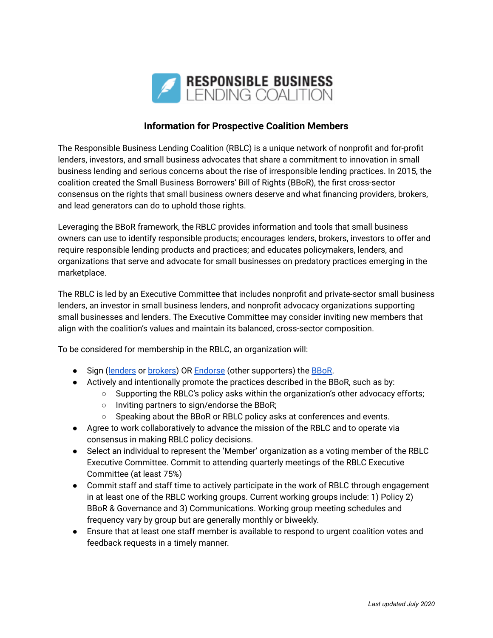

## **Information for Prospective Coalition Members**

The Responsible Business Lending Coalition (RBLC) is a unique network of nonprofit and for-profit lenders, investors, and small business advocates that share a commitment to innovation in small business lending and serious concerns about the rise of irresponsible lending practices. In 2015, the coalition created the Small Business Borrowers' Bill of Rights (BBoR), the first cross-sector consensus on the rights that small business owners deserve and what financing providers, brokers, and lead generators can do to uphold those rights.

Leveraging the BBoR framework, the RBLC provides information and tools that small business owners can use to identify responsible products; encourages lenders, brokers, investors to offer and require responsible lending products and practices; and educates policymakers, lenders, and organizations that serve and advocate for small businesses on predatory practices emerging in the marketplace.

The RBLC is led by an Executive Committee that includes nonprofit and private-sector small business lenders, an investor in small business lenders, and nonprofit advocacy organizations supporting small businesses and lenders. The Executive Committee may consider inviting new members that align with the coalition's values and maintain its balanced, cross-sector composition.

To be considered for membership in the RBLC, an organization will:

- Sign ([lenders](http://www.borrowersbillofrights.org/uploads/1/0/0/4/100447618/bbor_2021_-_attestation_form_for_lenders_and_marketplaces.pdf) or [brokers\)](http://www.borrowersbillofrights.org/uploads/1/0/0/4/100447618/bbor_2021_-_attestation_form_for_brokers_and_lead_generators.pdf) OR [Endorse](http://www.borrowersbillofrights.org/uploads/1/0/0/4/100447618/bbor_endorser_commitment_form_2018.pdf) (other supporters) the [BBoR.](http://www.borrowersbillofrights.org/uploads/1/0/0/4/100447618/bbor_2021_-_clean_copy.pdf)
- Actively and intentionally promote the practices described in the BBoR, such as by:
	- Supporting the RBLC's policy asks within the organization's other advocacy efforts;
		- Inviting partners to sign/endorse the BBoR;
		- Speaking about the BBoR or RBLC policy asks at conferences and events.
- Agree to work collaboratively to advance the mission of the RBLC and to operate via consensus in making RBLC policy decisions.
- Select an individual to represent the 'Member' organization as a voting member of the RBLC Executive Committee. Commit to attending quarterly meetings of the RBLC Executive Committee (at least 75%)
- Commit staff and staff time to actively participate in the work of RBLC through engagement in at least one of the RBLC working groups. Current working groups include: 1) Policy 2) BBoR & Governance and 3) Communications. Working group meeting schedules and frequency vary by group but are generally monthly or biweekly.
- Ensure that at least one staff member is available to respond to urgent coalition votes and feedback requests in a timely manner.